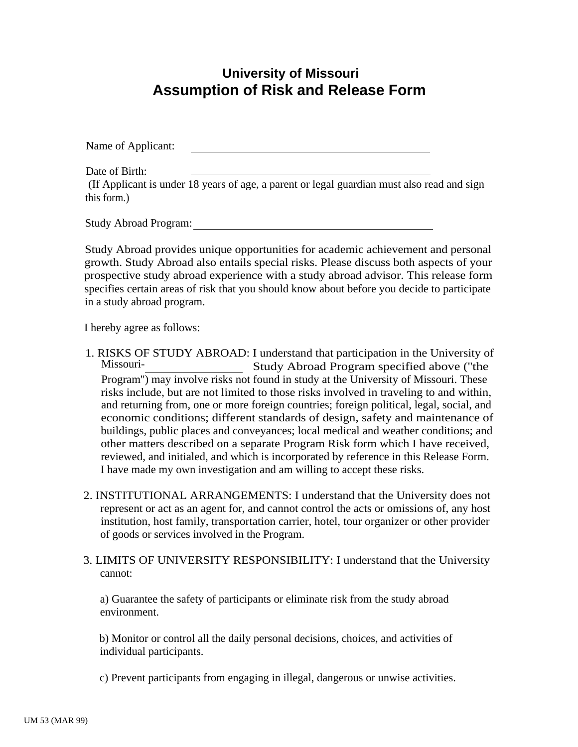## **University of Missouri Assumption of Risk and Release Form**

Name of Applicant:

Date of Birth: (If Applicant is under 18 years of age, a parent or legal guardian must also read and sign this form.)

Study Abroad Program:

Study Abroad provides unique opportunities for academic achievement and personal growth. Study Abroad also entails special risks. Please discuss both aspects of your prospective study abroad experience with a study abroad advisor. This release form specifies certain areas of risk that you should know about before you decide to participate in a study abroad program.

I hereby agree as follows:

- 1. RISKS OF STUDY ABROAD: I understand that participation in the University of Study Abroad Program specified above ("the Program'') may involve risks not found in study at the University of Missouri. These risks include, but are not limited to those risks involved in traveling to and within, and returning from, one or more foreign countries; foreign political, legal, social, and economic conditions; different standards of design, safety and maintenance of buildings, public places and conveyances; local medical and weather conditions; and other matters described on a separate Program Risk form which I have received, reviewed, and initialed, and which is incorporated by reference in this Release Form. I have made my own investigation and am willing to accept these risks.
- 2. INSTITUTIONAL ARRANGEMENTS: I understand that the University does not represent or act as an agent for, and cannot control the acts or omissions of, any host institution, host family, transportation carrier, hotel, tour organizer or other provider of goods or services involved in the Program.
- 3. LIMITS OF UNIVERSITY RESPONSIBILITY: I understand that the University cannot:

a) Guarantee the safety of participants or eliminate risk from the study abroad environment.

b) Monitor or control all the daily personal decisions, choices, and activities of individual participants.

c) Prevent participants from engaging in illegal, dangerous or unwise activities.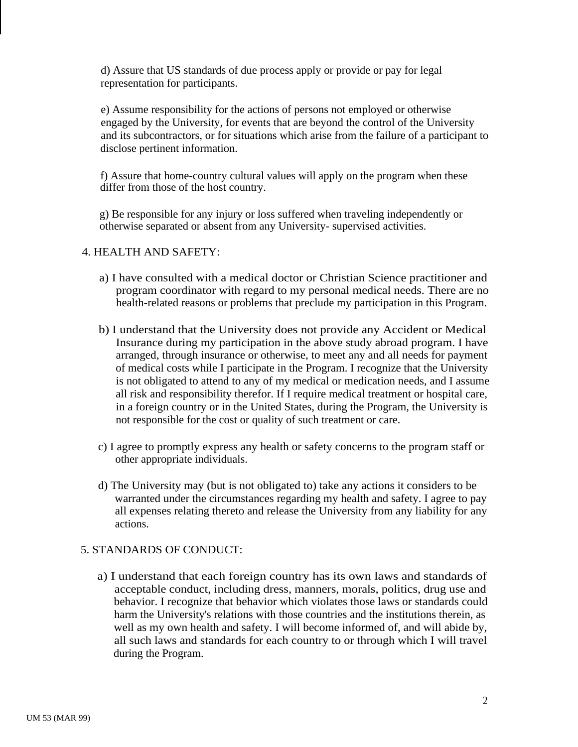d) Assure that US standards of due process apply or provide or pay for legal representation for participants.

e) Assume responsibility for the actions of persons not employed or otherwise engaged by the University, for events that are beyond the control of the University and its subcontractors, or for situations which arise from the failure of a participant to disclose pertinent information.

f) Assure that home-country cultural values will apply on the program when these differ from those of the host country.

g) Be responsible for any injury or loss suffered when traveling independently or otherwise separated or absent from any University- supervised activities.

## 4. HEALTH AND SAFETY:

- a) I have consulted with a medical doctor or Christian Science practitioner and program coordinator with regard to my personal medical needs. There are no health-related reasons or problems that preclude my participation in this Program.
- b) I understand that the University does not provide any Accident or Medical Insurance during my participation in the above study abroad program. I have arranged, through insurance or otherwise, to meet any and all needs for payment of medical costs while I participate in the Program. I recognize that the University is not obligated to attend to any of my medical or medication needs, and I assume all risk and responsibility therefor. If I require medical treatment or hospital care, in a foreign country or in the United States, during the Program, the University is not responsible for the cost or quality of such treatment or care.
- c) I agree to promptly express any health or safety concerns to the program staff or other appropriate individuals.
- d) The University may (but is not obligated to) take any actions it considers to be warranted under the circumstances regarding my health and safety. I agree to pay all expenses relating thereto and release the University from any liability for any actions.

## 5. STANDARDS OF CONDUCT:

a) I understand that each foreign country has its own laws and standards of acceptable conduct, including dress, manners, morals, politics, drug use and behavior. I recognize that behavior which violates those laws or standards could harm the University's relations with those countries and the institutions therein, as well as my own health and safety. I will become informed of, and will abide by, all such laws and standards for each country to or through which I will travel during the Program.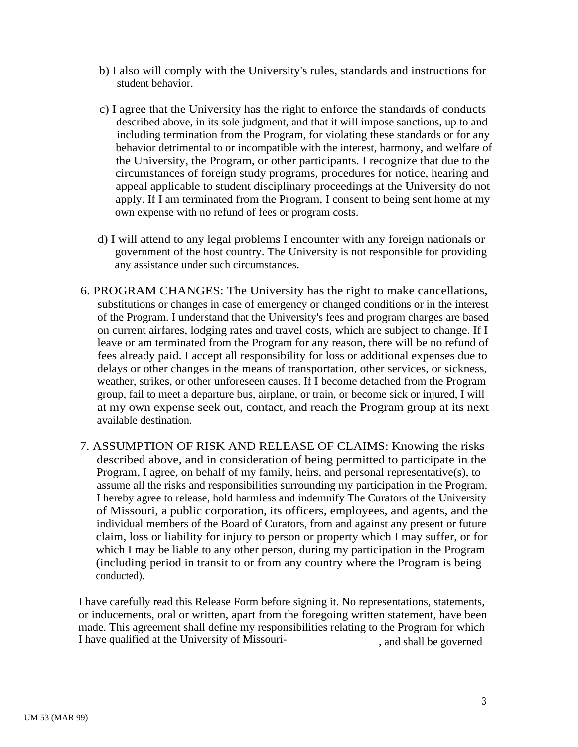- b) I also will comply with the University's rules, standards and instructions for student behavior.
- c) I agree that the University has the right to enforce the standards of conducts described above, in its sole judgment, and that it will impose sanctions, up to and including termination from the Program, for violating these standards or for any behavior detrimental to or incompatible with the interest, harmony, and welfare of the University, the Program, or other participants. I recognize that due to the circumstances of foreign study programs, procedures for notice, hearing and appeal applicable to student disciplinary proceedings at the University do not apply. If I am terminated from the Program, I consent to being sent home at my own expense with no refund of fees or program costs.
- d) I will attend to any legal problems I encounter with any foreign nationals or government of the host country. The University is not responsible for providing any assistance under such circumstances.
- 6. PROGRAM CHANGES: The University has the right to make cancellations, substitutions or changes in case of emergency or changed conditions or in the interest of the Program. I understand that the University's fees and program charges are based on current airfares, lodging rates and travel costs, which are subject to change. If I leave or am terminated from the Program for any reason, there will be no refund of fees already paid. I accept all responsibility for loss or additional expenses due to delays or other changes in the means of transportation, other services, or sickness, weather, strikes, or other unforeseen causes. If I become detached from the Program group, fail to meet a departure bus, airplane, or train, or become sick or injured, I will at my own expense seek out, contact, and reach the Program group at its next available destination.
- 7. ASSUMPTION OF RISK AND RELEASE OF CLAIMS: Knowing the risks described above, and in consideration of being permitted to participate in the Program, I agree, on behalf of my family, heirs, and personal representative(s), to assume all the risks and responsibilities surrounding my participation in the Program. I hereby agree to release, hold harmless and indemnify The Curators of the University of Missouri, a public corporation, its officers, employees, and agents, and the individual members of the Board of Curators, from and against any present or future claim, loss or liability for injury to person or property which I may suffer, or for which I may be liable to any other person, during my participation in the Program (including period in transit to or from any country where the Program is being conducted).

I have carefully read this Release Form before signing it. No representations, statements, or inducements, oral or written, apart from the foregoing written statement, have been made. This agreement shall define my responsibilities relating to the Program for which I have qualified at the University of Missouri-<br>  $\frac{1}{2}$ , and shall be governed